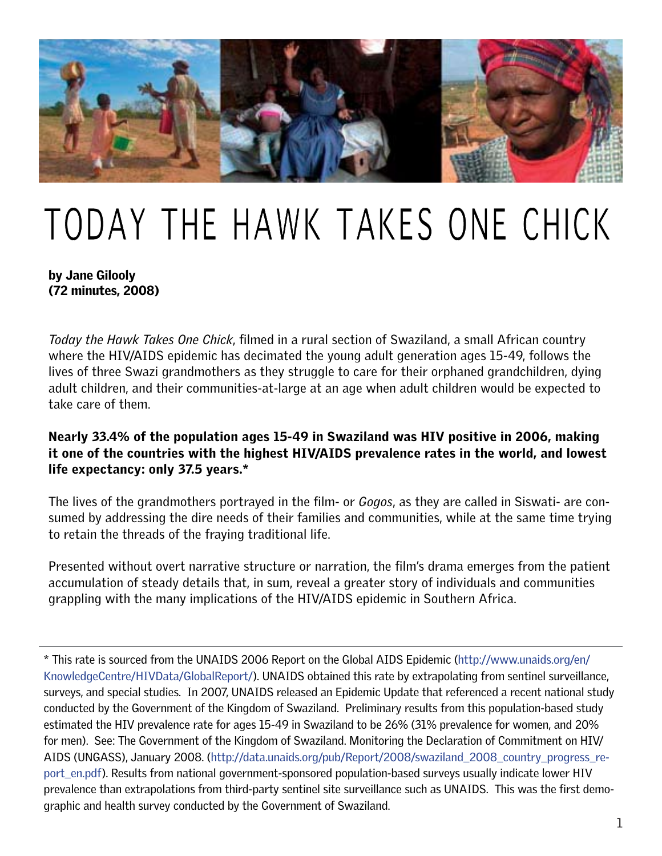

# TODAY THE HAWK TAKES ONE CHICK

### by Jane Gilooly (72 minutes, 2008)

*Today the Hawk Takes One Chick*, filmed in a rural section of Swaziland, a small African country where the HIV/AIDS epidemic has decimated the young adult generation ages 15-49, follows the lives of three Swazi grandmothers as they struggle to care for their orphaned grandchildren, dying adult children, and their communities-at-large at an age when adult children would be expected to take care of them.

## Nearly 33.4% of the population ages 15-49 in Swaziland was HIV positive in 2006, making it one of the countries with the highest HIV/AIDS prevalence rates in the world, and lowest life expectancy: only 37.5 years.\*

The lives of the grandmothers portrayed in the film- or *Gogos*, as they are called in Siswati- are consumed by addressing the dire needs of their families and communities, while at the same time trying to retain the threads of the fraying traditional life.

Presented without overt narrative structure or narration, the film's drama emerges from the patient accumulation of steady details that, in sum, reveal a greater story of individuals and communities grappling with the many implications of the HIV/AIDS epidemic in Southern Africa.

\* This rate is sourced from the UNAIDS 2006 Report on the Global AIDS Epidemic ([http://www.unaids.org/en/](http://www.unaids.org/en/KnowledgeCentre/HIVData/GlobalReport/) [KnowledgeCentre/HIVData/GlobalReport/](http://www.unaids.org/en/KnowledgeCentre/HIVData/GlobalReport/)). UNAIDS obtained this rate by extrapolating from sentinel surveillance, surveys, and special studies. In 2007, UNAIDS released an Epidemic Update that referenced a recent national study conducted by the Government of the Kingdom of Swaziland. Preliminary results from this population-based study estimated the HIV prevalence rate for ages 15-49 in Swaziland to be 26% (31% prevalence for women, and 20% for men). See: The Government of the Kingdom of Swaziland. Monitoring the Declaration of Commitment on HIV/ AIDS (UNGASS), January 2008. [\(http://data.unaids.org/pub/Report/2008/swaziland\\_2008\\_country\\_progress\\_re](http://data.unaids.org/pub/Report/2008/swaziland_2008_country_progress_report_en.pdf)[port\\_en.pdf](http://data.unaids.org/pub/Report/2008/swaziland_2008_country_progress_report_en.pdf)). Results from national government-sponsored population-based surveys usually indicate lower HIV prevalence than extrapolations from third-party sentinel site surveillance such as UNAIDS. This was the first demographic and health survey conducted by the Government of Swaziland.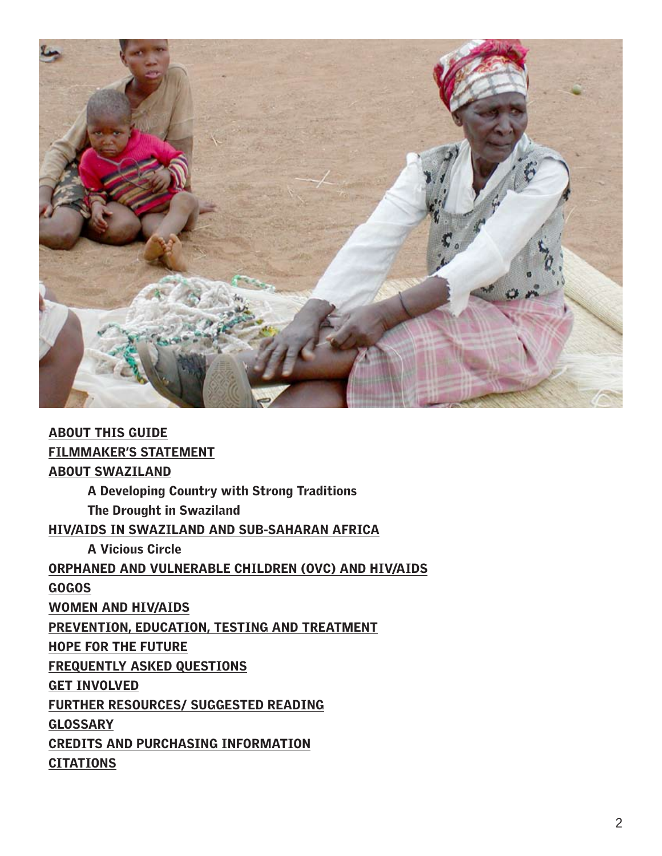

| <b>ABOUT THIS GUIDE</b>                             |
|-----------------------------------------------------|
| <b>FILMMAKER'S STATEMENT</b>                        |
| <b>ABOUT SWAZILAND</b>                              |
| A Developing Country with Strong Traditions         |
| <b>The Drought in Swaziland</b>                     |
| HIV/AIDS IN SWAZILAND AND SUB-SAHARAN AFRICA        |
| <b>A Vicious Circle</b>                             |
| ORPHANED AND VULNERABLE CHILDREN (OVC) AND HIV/AIDS |
| <b>GOGOS</b>                                        |
| <b>WOMEN AND HIV/AIDS</b>                           |
| PREVENTION, EDUCATION, TESTING AND TREATMENT        |
| <b>HOPE FOR THE FUTURE</b>                          |
| <b>FREQUENTLY ASKED QUESTIONS</b>                   |
| <b>GET INVOLVED</b>                                 |
| <b>FURTHER RESOURCES/ SUGGESTED READING</b>         |
| <b>GLOSSARY</b>                                     |
| <b>CREDITS AND PURCHASING INFORMATION</b>           |
| <b>CITATIONS</b>                                    |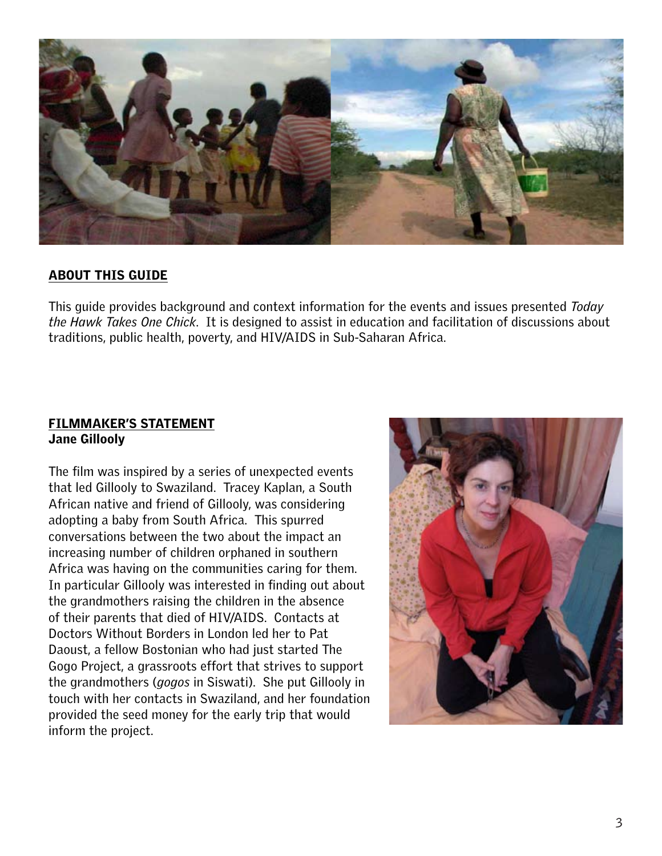

### <span id="page-2-0"></span>ABOUT THIS GUIDE

This guide provides background and context information for the events and issues presented *Today the Hawk Takes One Chick*. It is designed to assist in education and facilitation of discussions about traditions, public health, poverty, and HIV/AIDS in Sub-Saharan Africa.

#### <span id="page-2-1"></span>FILMMAKER'S STATEMENT Jane Gillooly

The film was inspired by a series of unexpected events that led Gillooly to Swaziland. Tracey Kaplan, a South African native and friend of Gillooly, was considering adopting a baby from South Africa. This spurred conversations between the two about the impact an increasing number of children orphaned in southern Africa was having on the communities caring for them. In particular Gillooly was interested in finding out about the grandmothers raising the children in the absence of their parents that died of HIV/AIDS. Contacts at Doctors Without Borders in London led her to Pat Daoust, a fellow Bostonian who had just started The Gogo Project, a grassroots effort that strives to support the grandmothers (*gogos* in Siswati). She put Gillooly in touch with her contacts in Swaziland, and her foundation provided the seed money for the early trip that would inform the project.

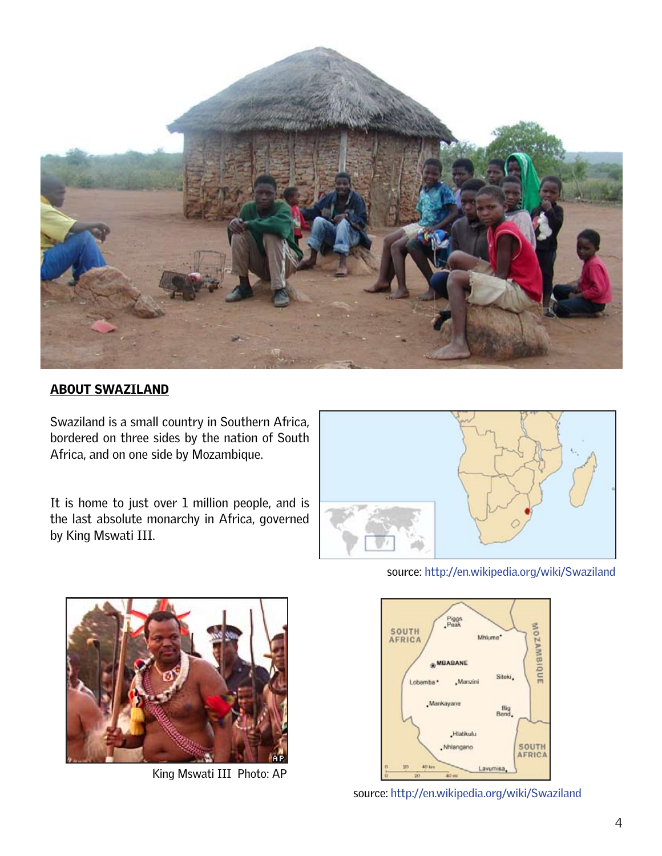

# <span id="page-3-0"></span>ABOUT SWAZILAND

Swaziland is a small country in Southern Africa, bordered on three sides by the nation of South Africa, and on one side by Mozambique.

It is home to just over 1 million people, and is the last absolute monarchy in Africa, governed by King Mswati III.





King Mswati III Photo: AP

source:<http://en.wikipedia.org/wiki/Swaziland>



source:<http://en.wikipedia.org/wiki/Swaziland>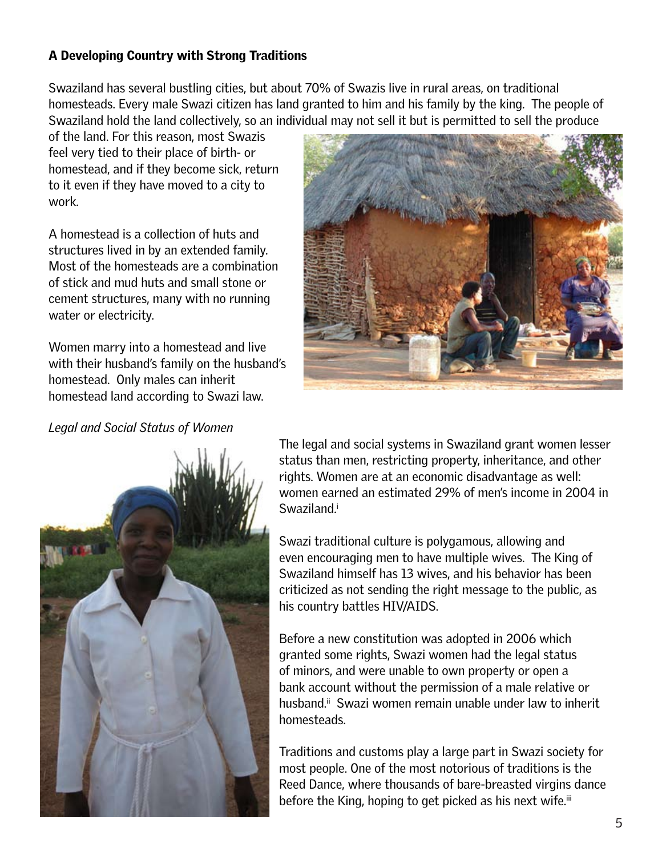# <span id="page-4-0"></span>A Developing Country with Strong Traditions

Swaziland has several bustling cities, but about 70% of Swazis live in rural areas, on traditional homesteads. Every male Swazi citizen has land granted to him and his family by the king. The people of Swaziland hold the land collectively, so an individual may not sell it but is permitted to sell the produce

of the land. For this reason, most Swazis feel very tied to their place of birth- or homestead, and if they become sick, return to it even if they have moved to a city to work.

A homestead is a collection of huts and structures lived in by an extended family. Most of the homesteads are a combination of stick and mud huts and small stone or cement structures, many with no running water or electricity.

Women marry into a homestead and live with their husband's family on the husband's homestead. Only males can inherit homestead land according to Swazi law.



## *Legal and Social Status of Women*



The legal and social systems in Swaziland grant women lesser status than men, restricting property, inheritance, and other rights. Women are at an economic disadvantage as well: women earned an estimated 29% of men's income in 2004 in Swaziland.<sup>i</sup>

Swazi traditional culture is polygamous, allowing and even encouraging men to have multiple wives. The King of Swaziland himself has 13 wives, and his behavior has been criticized as not sending the right message to the public, as his country battles HIV/AIDS.

Before a new constitution was adopted in 2006 which granted some rights, Swazi women had the legal status of minors, and were unable to own property or open a bank account without the permission of a male relative or husband.<sup>ii</sup> Swazi women remain unable under law to inherit homesteads.

Traditions and customs play a large part in Swazi society for most people. One of the most notorious of traditions is the Reed Dance, where thousands of bare-breasted virgins dance before the King, hoping to get picked as his next wife.<sup>iii</sup>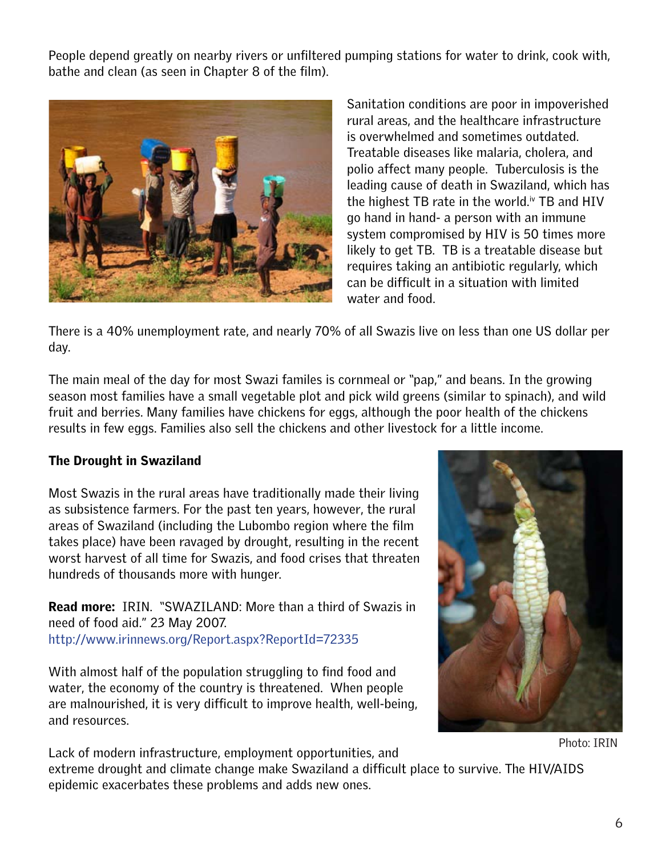People depend greatly on nearby rivers or unfiltered pumping stations for water to drink, cook with, bathe and clean (as seen in Chapter 8 of the film).



Sanitation conditions are poor in impoverished rural areas, and the healthcare infrastructure is overwhelmed and sometimes outdated. Treatable diseases like malaria, cholera, and polio affect many people. Tuberculosis is the leading cause of death in Swaziland, which has the highest TB rate in the world. $\dot{v}$  TB and HIV go hand in hand- a person with an immune system compromised by HIV is 50 times more likely to get TB. TB is a treatable disease but requires taking an antibiotic regularly, which can be difficult in a situation with limited water and food.

There is a 40% unemployment rate, and nearly 70% of all Swazis live on less than one US dollar per day.

The main meal of the day for most Swazi familes is cornmeal or "pap," and beans. In the growing season most families have a small vegetable plot and pick wild greens (similar to spinach), and wild fruit and berries. Many families have chickens for eggs, although the poor health of the chickens results in few eggs. Families also sell the chickens and other livestock for a little income.

## <span id="page-5-0"></span>The Drought in Swaziland

Most Swazis in the rural areas have traditionally made their living as subsistence farmers. For the past ten years, however, the rural areas of Swaziland (including the Lubombo region where the film takes place) have been ravaged by drought, resulting in the recent worst harvest of all time for Swazis, and food crises that threaten hundreds of thousands more with hunger.

**Read more:** IRIN. "SWAZILAND: More than a third of Swazis in need of food aid." 23 May 2007. [http://www.irinnews.org/Report.aspx?ReportId=72335](http://www.irinnews.org/report.aspx?ReportID=72335)

With almost half of the population struggling to find food and water, the economy of the country is threatened. When people are malnourished, it is very difficult to improve health, well-being, and resources.



Photo: IRIN

Lack of modern infrastructure, employment opportunities, and extreme drought and climate change make Swaziland a difficult place to survive. The HIV/AIDS epidemic exacerbates these problems and adds new ones.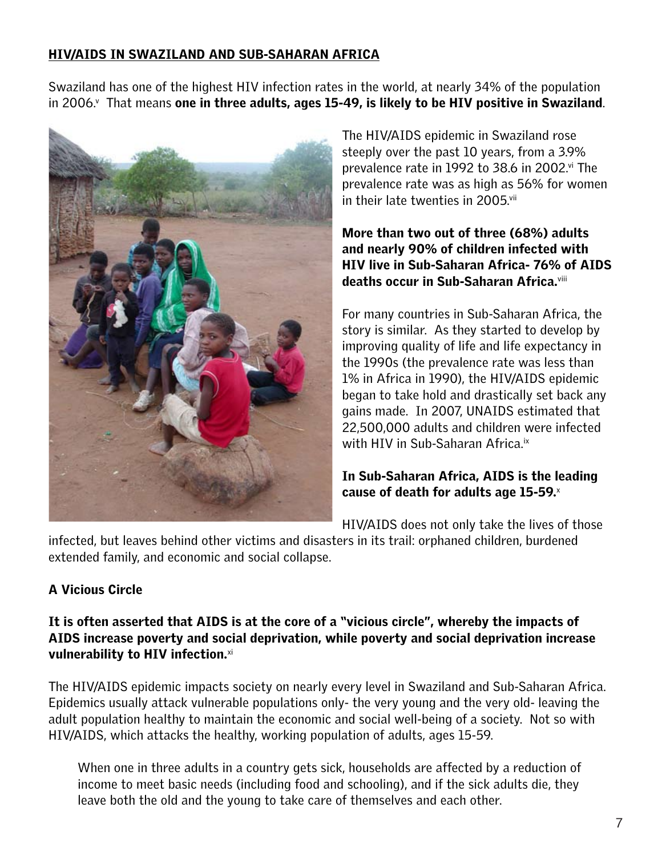# <span id="page-6-0"></span>HIV/AIDS IN SWAZILAND AND SUB-SAHARAN AFRICA

Swaziland has one of the highest HIV infection rates in the world, at nearly 34% of the population in 2006. $^{\prime}$  That means one in three adults, ages 15-49, is likely to be HIV positive in Swaziland.



The HIV/AIDS epidemic in Swaziland rose steeply over the past 10 years, from a 3.9% prevalence rate in 1992 to 38.6 in 2002.<sup>[vi](#page-21-6)</sup> The prevalence rate was as high as 56% for women in their late twenties in 2005.<sup>vii</sup>

More than two out of three (68%) adults and nearly 90% of children infected with HIV live in Sub-Saharan Africa- 76% of AIDS deaths occur in Sub-Saharan Africa.[viii](#page-21-8)

For many countries in Sub-Saharan Africa, the story is similar. As they started to develop by improving quality of life and life expectancy in the 1990s (the prevalence rate was less than 1% in Africa in 1990), the HIV/AIDS epidemic began to take hold and drastically set back any gains made. In 2007, UNAIDS estimated that 22,500,000 adults and children were infected with HIV in Sub-Saharan Africa.<sup>[ix](#page-21-9)</sup>

# In Sub-Saharan Africa, AIDS is the leading cause of death for adults age 15-59. $^{\scriptscriptstyle \times}$

HIV/AIDS does not only take the lives of those

infected, but leaves behind other victims and disasters in its trail: orphaned children, burdened extended family, and economic and social collapse.

# <span id="page-6-1"></span>A Vicious Circle

## It is often asserted that AIDS is at the core of a "vicious circle", whereby the impacts of AIDS increase poverty and social deprivation, while poverty and social deprivation increase vulnerability to HIV infection. $xi$

The HIV/AIDS epidemic impacts society on nearly every level in Swaziland and Sub-Saharan Africa. Epidemics usually attack vulnerable populations only- the very young and the very old- leaving the adult population healthy to maintain the economic and social well-being of a society. Not so with HIV/AIDS, which attacks the healthy, working population of adults, ages 15-59.

When one in three adults in a country gets sick, households are affected by a reduction of income to meet basic needs (including food and schooling), and if the sick adults die, they leave both the old and the young to take care of themselves and each other.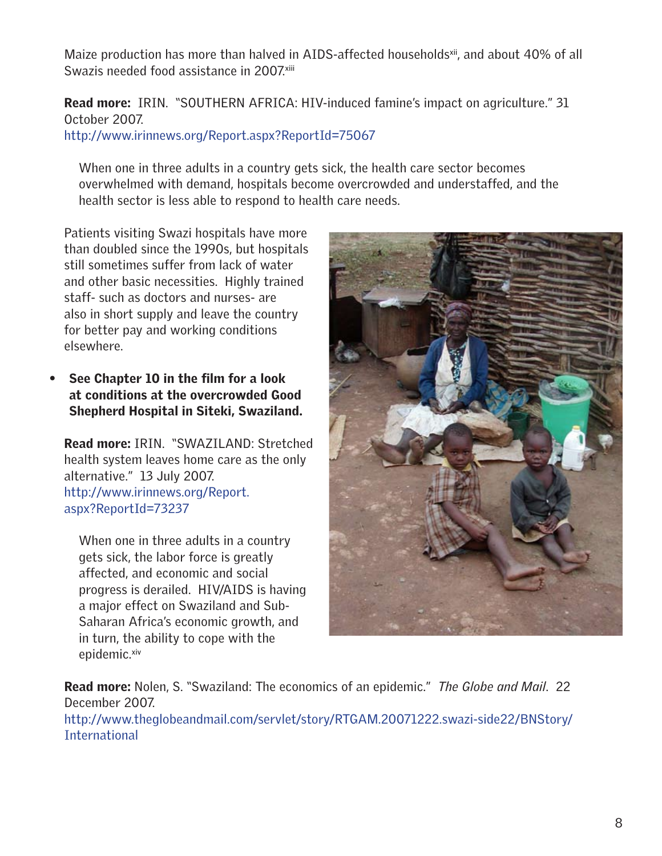Maize production has more than halved in AIDS-affected households<sup>xii</sup>, and about 40% of all Swazis needed food assistance in 2007.<sup>[xiii](#page-21-13)</sup>

Read more: IRIN. "SOUTHERN AFRICA: HIV-induced famine's impact on agriculture." 31 October 2007.

<http://www.irinnews.org/Report.aspx?ReportId=75067>

When one in three adults in a country gets sick, the health care sector becomes overwhelmed with demand, hospitals become overcrowded and understaffed, and the health sector is less able to respond to health care needs.

Patients visiting Swazi hospitals have more than doubled since the 1990s, but hospitals still sometimes suffer from lack of water and other basic necessities. Highly trained staff- such as doctors and nurses- are also in short supply and leave the country for better pay and working conditions elsewhere.

See Chapter 10 in the film for a look at conditions at the overcrowded Good Shepherd Hospital in Siteki, Swaziland.

Read more: IRIN. "SWAZILAND: Stretched health system leaves home care as the only alternative." 13 July 2007. [http://www.irinnews.org/Report.](http://www.irinnews.org/Report.aspx?ReportId=73237) [aspx?ReportId=73237](http://www.irinnews.org/Report.aspx?ReportId=73237)

When one in three adults in a country gets sick, the labor force is greatly affected, and economic and social progress is derailed. HIV/AIDS is having a major effect on Swaziland and Sub-Saharan Africa's economic growth, and in turn, the ability to cope with the epidemic.<sup>[xiv](#page-21-14)</sup>



Read more: Nolen, S. "Swaziland: The economics of an epidemic." *The Globe and Mail*. 22 December 2007. [http://www.theglobeandmail.com/servlet/story/RTGAM.20071222.swazi-side22/BNStory/](http://www.theglobeandmail.com/servlet/story/RTGAM.20071222.swazi-side22/BNStory/International) **[International](http://www.theglobeandmail.com/servlet/story/RTGAM.20071222.swazi-side22/BNStory/International)**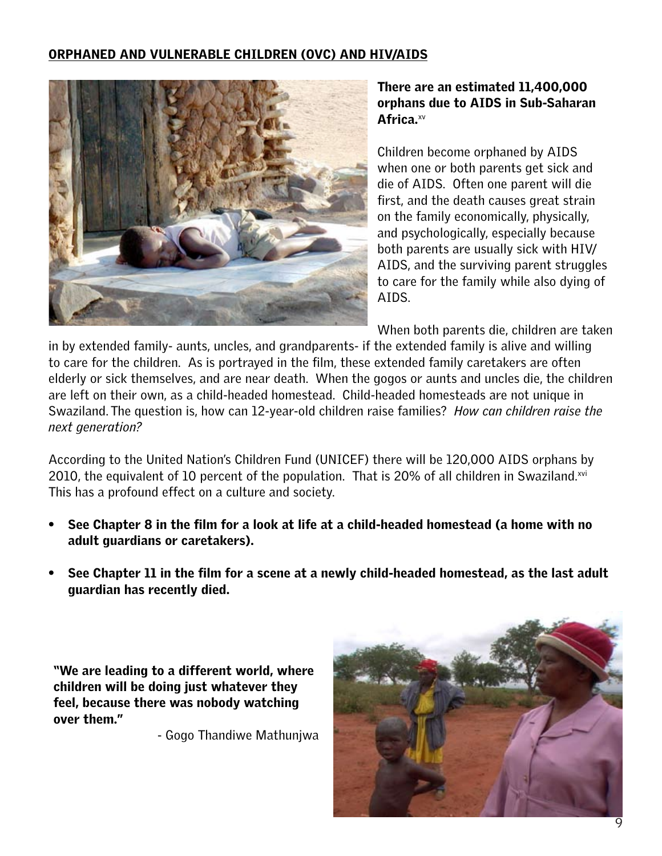## <span id="page-8-0"></span>Orphaned and Vulnerable Children (OVC) and HIV/AIDS



## There are an estimated 11,400,000 orphans due to AIDS in Sub-Saharan Africa.<sup>[xv](#page-21-15)</sup>

Children become orphaned by AIDS when one or both parents get sick and die of AIDS. Often one parent will die first, and the death causes great strain on the family economically, physically, and psychologically, especially because both parents are usually sick with HIV/ AIDS, and the surviving parent struggles to care for the family while also dying of AIDS.

When both parents die, children are taken

in by extended family- aunts, uncles, and grandparents- if the extended family is alive and willing to care for the children. As is portrayed in the film, these extended family caretakers are often elderly or sick themselves, and are near death. When the gogos or aunts and uncles die, the children are left on their own, as a child-headed homestead. Child-headed homesteads are not unique in Swaziland. The question is, how can 12-year-old children raise families? *How can children raise the next generation?*

According to the United Nation's Children Fund (UNICEF) there will be 120,000 AIDS orphans by 2010, the equivalent of 10 percent of the population. That is 20% of all children in Swaziland. $xvi$ This has a profound effect on a culture and society.

- See Chapter 8 in the film for a look at life at a child-headed homestead (a home with no adult guardians or caretakers).
- See Chapter 11 in the film for a scene at a newly child-headed homestead, as the last adult guardian has recently died.

"We are leading to a different world, where children will be doing just whatever they feel, because there was nobody watching over them."

- Gogo Thandiwe Mathunjwa

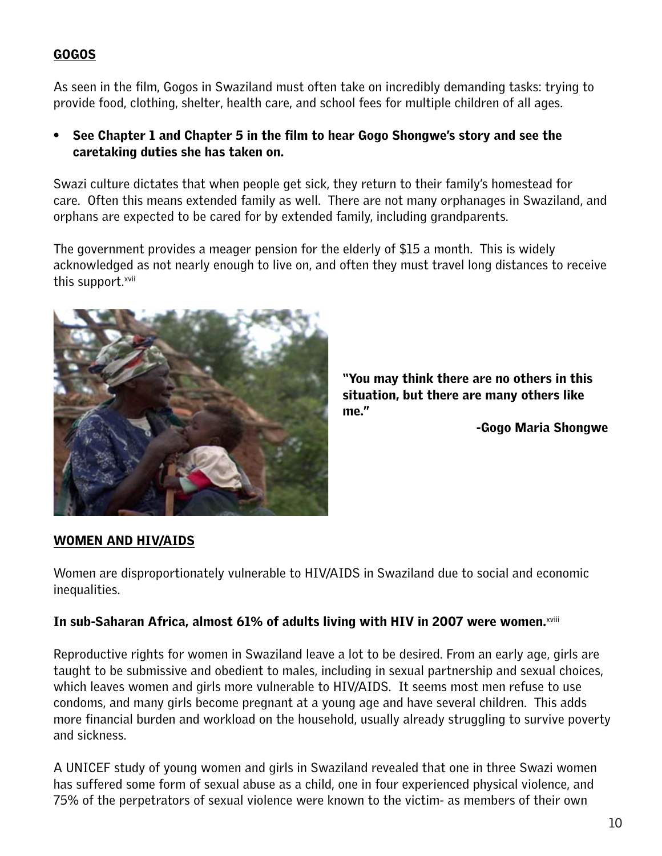# <span id="page-9-0"></span>Gogos

As seen in the film, Gogos in Swaziland must often take on incredibly demanding tasks: trying to provide food, clothing, shelter, health care, and school fees for multiple children of all ages.

• See Chapter 1 and Chapter 5 in the film to hear Gogo Shongwe's story and see the caretaking duties she has taken on.

Swazi culture dictates that when people get sick, they return to their family's homestead for care. Often this means extended family as well. There are not many orphanages in Swaziland, and orphans are expected to be cared for by extended family, including grandparents.

The government provides a meager pension for the elderly of \$15 a month. This is widely acknowledged as not nearly enough to live on, and often they must travel long distances to receive this support.[xvii](#page-22-1)



"You may think there are no others in this situation, but there are many others like me."

-Gogo Maria Shongwe

## <span id="page-9-1"></span>Women and HIV/AIDS

Women are disproportionately vulnerable to HIV/AIDS in Swaziland due to social and economic inequalities.

## In sub-Saharan Africa, almost 61% of adults living with HIV in 2007 were women.<sup>[xviii](#page-22-2)</sup>

Reproductive rights for women in Swaziland leave a lot to be desired. From an early age, girls are taught to be submissive and obedient to males, including in sexual partnership and sexual choices, which leaves women and girls more vulnerable to HIV/AIDS. It seems most men refuse to use condoms, and many girls become pregnant at a young age and have several children. This adds more financial burden and workload on the household, usually already struggling to survive poverty and sickness.

A UNICEF study of young women and girls in Swaziland revealed that one in three Swazi women has suffered some form of sexual abuse as a child, one in four experienced physical violence, and 75% of the perpetrators of sexual violence were known to the victim- as members of their own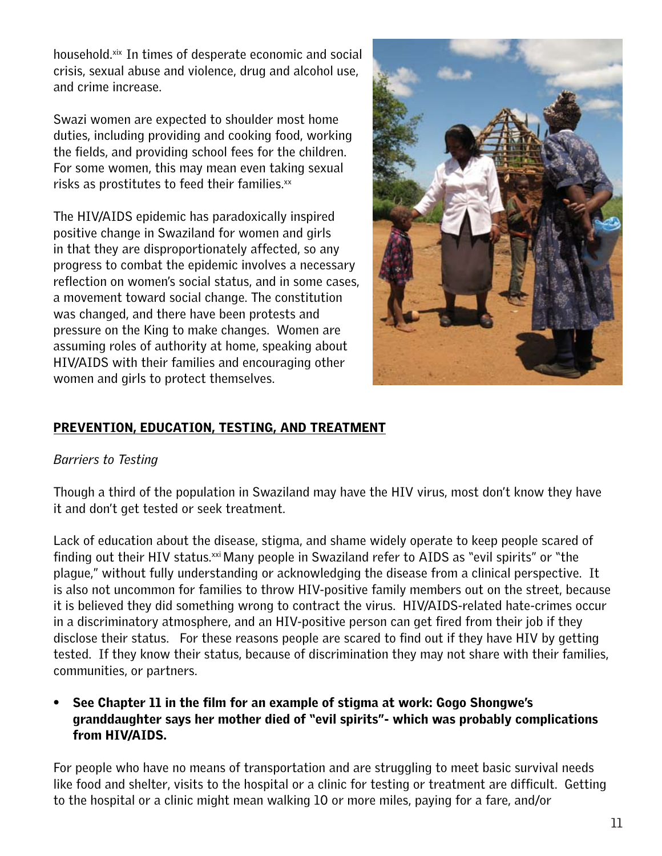household.<sup>[xix](#page-22-3)</sup> In times of desperate economic and social crisis, sexual abuse and violence, drug and alcohol use, and crime increase.

Swazi women are expected to shoulder most home duties, including providing and cooking food, working the fields, and providing school fees for the children. For some women, this may mean even taking sexual risks as prostitutes to feed their families. $x^2$ 

The HIV/AIDS epidemic has paradoxically inspired positive change in Swaziland for women and girls in that they are disproportionately affected, so any progress to combat the epidemic involves a necessary reflection on women's social status, and in some cases, a movement toward social change. The constitution was changed, and there have been protests and pressure on the King to make changes. Women are assuming roles of authority at home, speaking about HIV/AIDS with their families and encouraging other women and girls to protect themselves.



# <span id="page-10-0"></span>Prevention, Education, Testing, and Treatment

# *Barriers to Testing*

Though a third of the population in Swaziland may have the HIV virus, most don't know they have it and don't get tested or seek treatment.

Lack of education about the disease, stigma, and shame widely operate to keep people scared of finding out their HIV status.<sup>[xxi](#page-22-5)</sup> Many people in Swaziland refer to AIDS as "evil spirits" or "the plague," without fully understanding or acknowledging the disease from a clinical perspective. It is also not uncommon for families to throw HIV-positive family members out on the street, because it is believed they did something wrong to contract the virus. HIV/AIDS-related hate-crimes occur in a discriminatory atmosphere, and an HIV-positive person can get fired from their job if they disclose their status. For these reasons people are scared to find out if they have HIV by getting tested. If they know their status, because of discrimination they may not share with their families, communities, or partners.

# • See Chapter 11 in the film for an example of stigma at work: Gogo Shongwe's granddaughter says her mother died of "evil spirits"- which was probably complications from HIV/AIDS.

For people who have no means of transportation and are struggling to meet basic survival needs like food and shelter, visits to the hospital or a clinic for testing or treatment are difficult. Getting to the hospital or a clinic might mean walking 10 or more miles, paying for a fare, and/or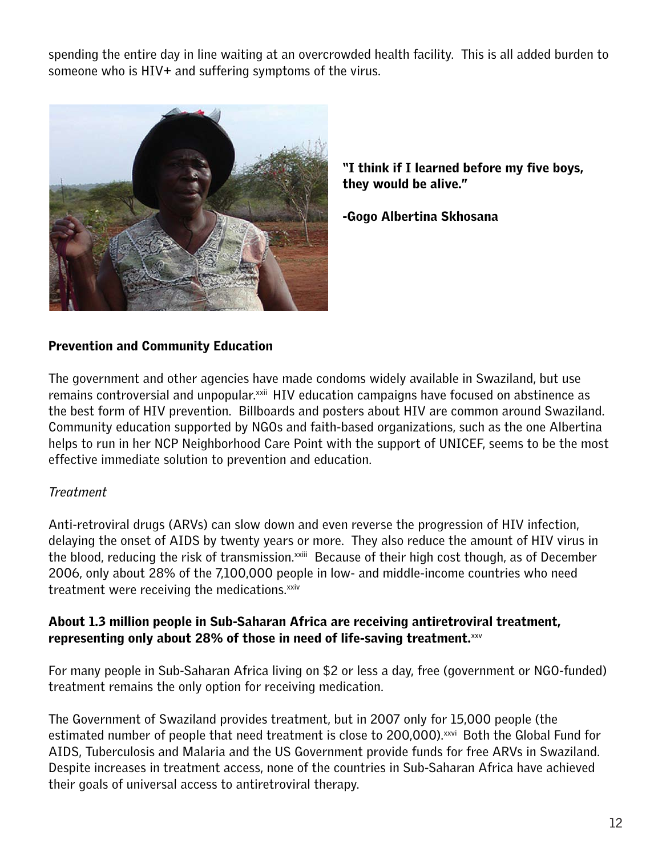spending the entire day in line waiting at an overcrowded health facility. This is all added burden to someone who is HIV+ and suffering symptoms of the virus.



"I think if I learned before my five boys, they would be alive."

-Gogo Albertina Skhosana

# Prevention and Community Education

The government and other agencies have made condoms widely available in Swaziland, but use remains controversial and unpopular.<sup>[xxii](#page-21-12)</sup> HIV education campaigns have focused on abstinence as the best form of HIV prevention. Billboards and posters about HIV are common around Swaziland. Community education supported by NGOs and faith-based organizations, such as the one Albertina helps to run in her NCP Neighborhood Care Point with the support of UNICEF, seems to be the most effective immediate solution to prevention and education.

# *Treatment*

Anti-retroviral drugs (ARVs) can slow down and even reverse the progression of HIV infection, delaying the onset of AIDS by twenty years or more. They also reduce the amount of HIV virus in the blood, reducing the risk of transmission.<sup>xxiii</sup> Because of their high cost though, as of December 2006, only about 28% of the 7,100,000 people in low- and middle-income countries who need treatment were receiving the medications.<sup>xxiv</sup>

## About 1.3 million people in Sub-Saharan Africa are receiving antiretroviral treatment, representing only about 28% of those in need of life-saving treatment. $xxy$

For many people in Sub-Saharan Africa living on \$2 or less a day, free (government or NGO-funded) treatment remains the only option for receiving medication.

The Government of Swaziland provides treatment, but in 2007 only for 15,000 people (the estimated number of people that need treatment is close to 200,000). XXVI Both the Global Fund for AIDS, Tuberculosis and Malaria and the US Government provide funds for free ARVs in Swaziland. Despite increases in treatment access, none of the countries in Sub-Saharan Africa have achieved their goals of universal access to antiretroviral therapy.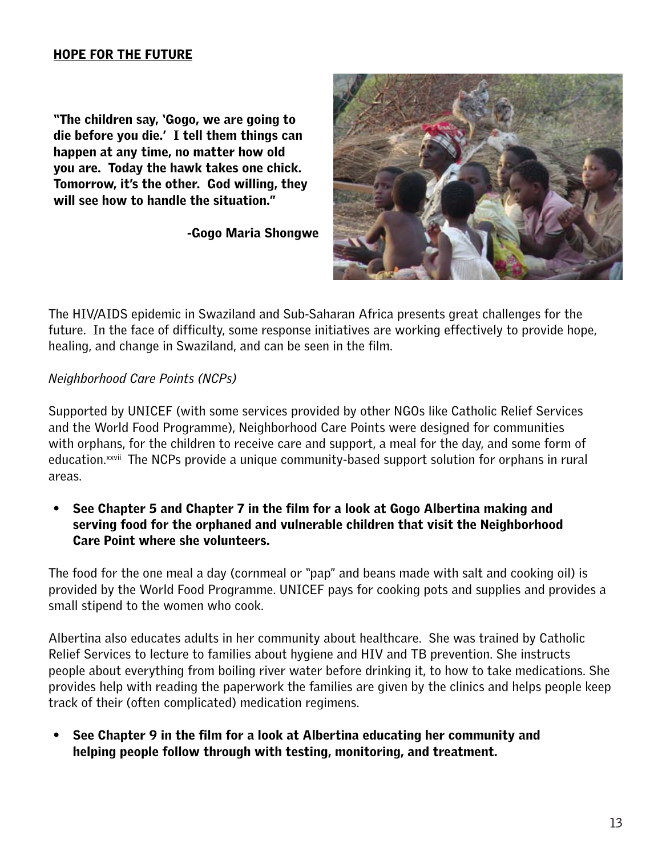#### <span id="page-12-0"></span>Hope for the Future

"The children say, 'Gogo, we are going to die before you die.' I tell them things can happen at any time, no matter how old you are. Today the hawk takes one chick. Tomorrow, it's the other. God willing, they will see how to handle the situation."

-Gogo Maria Shongwe



The HIV/AIDS epidemic in Swaziland and Sub-Saharan Africa presents great challenges for the future. In the face of difficulty, some response initiatives are working effectively to provide hope, healing, and change in Swaziland, and can be seen in the film.

#### *Neighborhood Care Points (NCPs)*

Supported by UNICEF (with some services provided by other NGOs like Catholic Relief Services and the World Food Programme), Neighborhood Care Points were designed for communities with orphans, for the children to receive care and support, a meal for the day, and some form of education.<sup>xxvii</sup> The NCPs provide a unique community-based support solution for orphans in rural areas.

• See Chapter 5 and Chapter 7 in the film for a look at Gogo Albertina making and serving food for the orphaned and vulnerable children that visit the Neighborhood Care Point where she volunteers.

The food for the one meal a day (cornmeal or "pap" and beans made with salt and cooking oil) is provided by the World Food Programme. UNICEF pays for cooking pots and supplies and provides a small stipend to the women who cook.

Albertina also educates adults in her community about healthcare. She was trained by Catholic Relief Services to lecture to families about hygiene and HIV and TB prevention. She instructs people about everything from boiling river water before drinking it, to how to take medications. She provides help with reading the paperwork the families are given by the clinics and helps people keep track of their (often complicated) medication regimens.

• See Chapter 9 in the film for a look at Albertina educating her community and helping people follow through with testing, monitoring, and treatment.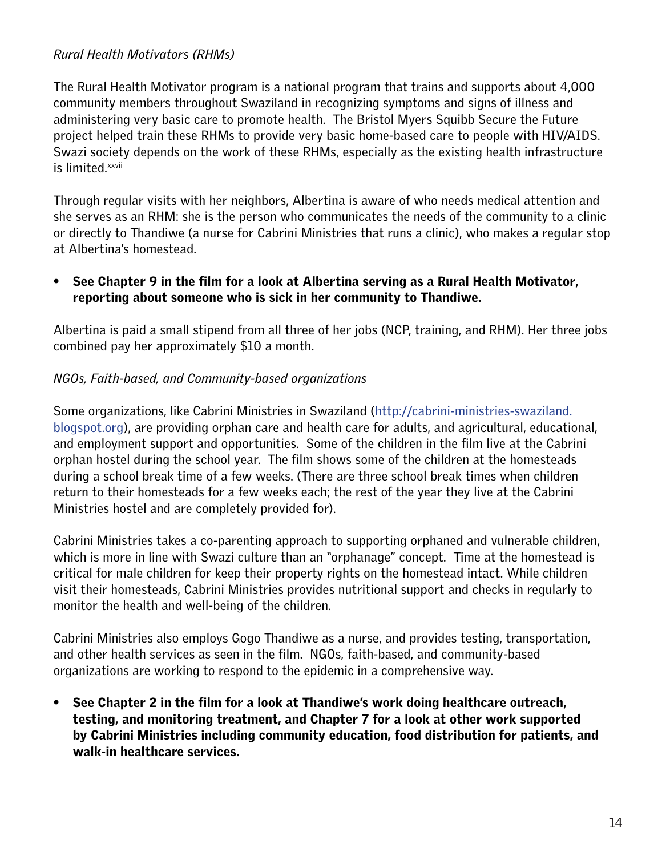## *Rural Health Motivators (RHMs)*

The Rural Health Motivator program is a national program that trains and supports about 4,000 community members throughout Swaziland in recognizing symptoms and signs of illness and administering very basic care to promote health. The Bristol Myers Squibb Secure the Future project helped train these RHMs to provide very basic home-based care to people with HIV/AIDS. Swazi society depends on the work of these RHMs, especially as the existing health infrastructure is limited.<sup>xxvii</sup>

Through regular visits with her neighbors, Albertina is aware of who needs medical attention and she serves as an RHM: she is the person who communicates the needs of the community to a clinic or directly to Thandiwe (a nurse for Cabrini Ministries that runs a clinic), who makes a regular stop at Albertina's homestead.

## • See Chapter 9 in the film for a look at Albertina serving as a Rural Health Motivator, reporting about someone who is sick in her community to Thandiwe.

Albertina is paid a small stipend from all three of her jobs (NCP, training, and RHM). Her three jobs combined pay her approximately \$10 a month.

## *NGOs, Faith-based, and Community-based organizations*

Some organizations, like Cabrini Ministries in Swaziland ([http://cabrini-ministries-swaziland.](http://cabrini-ministries-swaziland.blogspot.com/) [blogspot.org](http://cabrini-ministries-swaziland.blogspot.com/)), are providing orphan care and health care for adults, and agricultural, educational, and employment support and opportunities. Some of the children in the film live at the Cabrini orphan hostel during the school year. The film shows some of the children at the homesteads during a school break time of a few weeks. (There are three school break times when children return to their homesteads for a few weeks each; the rest of the year they live at the Cabrini Ministries hostel and are completely provided for).

Cabrini Ministries takes a co-parenting approach to supporting orphaned and vulnerable children, which is more in line with Swazi culture than an "orphanage" concept. Time at the homestead is critical for male children for keep their property rights on the homestead intact. While children visit their homesteads, Cabrini Ministries provides nutritional support and checks in regularly to monitor the health and well-being of the children.

Cabrini Ministries also employs Gogo Thandiwe as a nurse, and provides testing, transportation, and other health services as seen in the film. NGOs, faith-based, and community-based organizations are working to respond to the epidemic in a comprehensive way.

• See Chapter 2 in the film for a look at Thandiwe's work doing healthcare outreach, testing, and monitoring treatment, and Chapter 7 for a look at other work supported by Cabrini Ministries including community education, food distribution for patients, and walk-in healthcare services.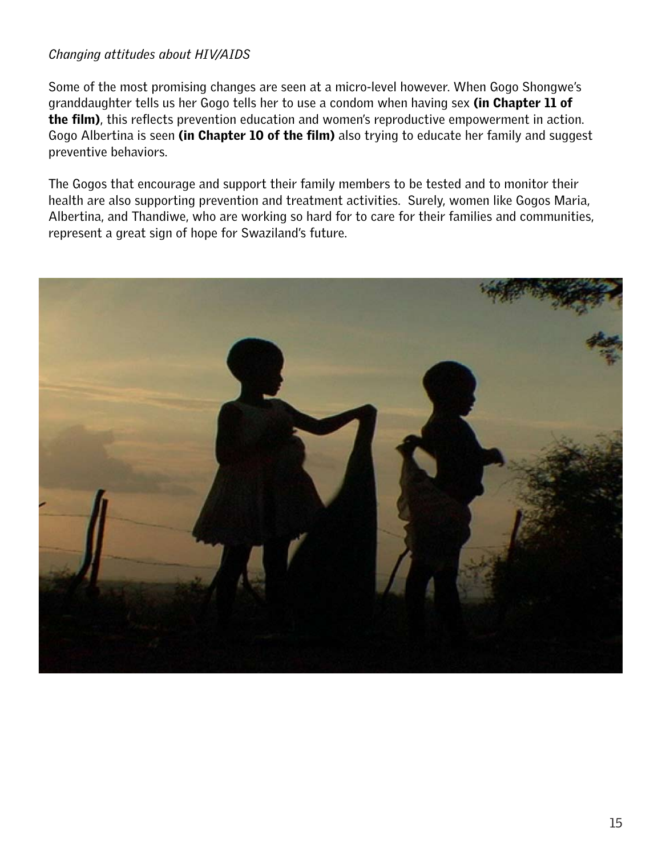# *Changing attitudes about HIV/AIDS*

Some of the most promising changes are seen at a micro-level however. When Gogo Shongwe's granddaughter tells us her Gogo tells her to use a condom when having sex (in Chapter 11 of the film), this reflects prevention education and women's reproductive empowerment in action. Gogo Albertina is seen (in Chapter 10 of the film) also trying to educate her family and suggest preventive behaviors.

The Gogos that encourage and support their family members to be tested and to monitor their health are also supporting prevention and treatment activities. Surely, women like Gogos Maria, Albertina, and Thandiwe, who are working so hard for to care for their families and communities, represent a great sign of hope for Swaziland's future.

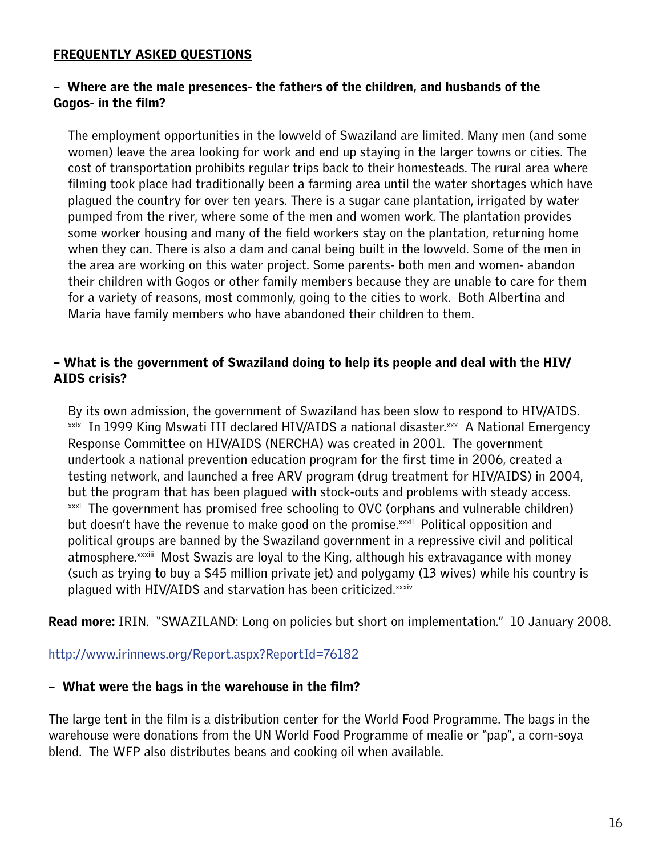#### <span id="page-15-0"></span>FREQUENTLY ASKED QUESTIONS

## – Where are the male presences- the fathers of the children, and husbands of the Gogos- in the film?

The employment opportunities in the lowveld of Swaziland are limited. Many men (and some women) leave the area looking for work and end up staying in the larger towns or cities. The cost of transportation prohibits regular trips back to their homesteads. The rural area where filming took place had traditionally been a farming area until the water shortages which have plagued the country for over ten years. There is a sugar cane plantation, irrigated by water pumped from the river, where some of the men and women work. The plantation provides some worker housing and many of the field workers stay on the plantation, returning home when they can. There is also a dam and canal being built in the lowveld. Some of the men in the area are working on this water project. Some parents- both men and women- abandon their children with Gogos or other family members because they are unable to care for them for a variety of reasons, most commonly, going to the cities to work. Both Albertina and Maria have family members who have abandoned their children to them.

### – What is the government of Swaziland doing to help its people and deal with the HIV/ AIDS crisis?

By its own admission, the government of Swaziland has been slow to respond to HIV/AIDS. <sup>[xxix](#page-22-11)</sup> In 1999 King Mswati III declared HIV/AIDS a national disaster.<sup>xxx</sup> A National Emergency Response Committee on HIV/AIDS (NERCHA) was created in 2001. The government undertook a national prevention education program for the first time in 2006, created a testing network, and launched a free ARV program (drug treatment for HIV/AIDS) in 2004, but the program that has been plagued with stock-outs and problems with steady access. <sup>[xxxi](#page-22-13)</sup> The government has promised free schooling to OVC (orphans and vulnerable children) but doesn't have the revenue to make good on the promise.<sup>[xxxii](#page-23-0)</sup> Political opposition and political groups are banned by the Swaziland government in a repressive civil and political atmosphere.<sup>[xxxiii](#page-22-6)</sup> Most Swazis are loyal to the King, although his extravagance with money (such as trying to buy a \$45 million private jet) and polygamy (13 wives) while his country is plagued with HIV/AIDS and starvation has been criticized.<sup>[xxxiv](#page-23-1)</sup>

**Read more:** IRIN. "SWAZILAND: Long on policies but short on implementation." 10 January 2008.

#### <http://www.irinnews.org/Report.aspx?ReportId=76182>

#### – What were the bags in the warehouse in the film?

The large tent in the film is a distribution center for the World Food Programme. The bags in the warehouse were donations from the UN World Food Programme of mealie or "pap", a corn-soya blend. The WFP also distributes beans and cooking oil when available.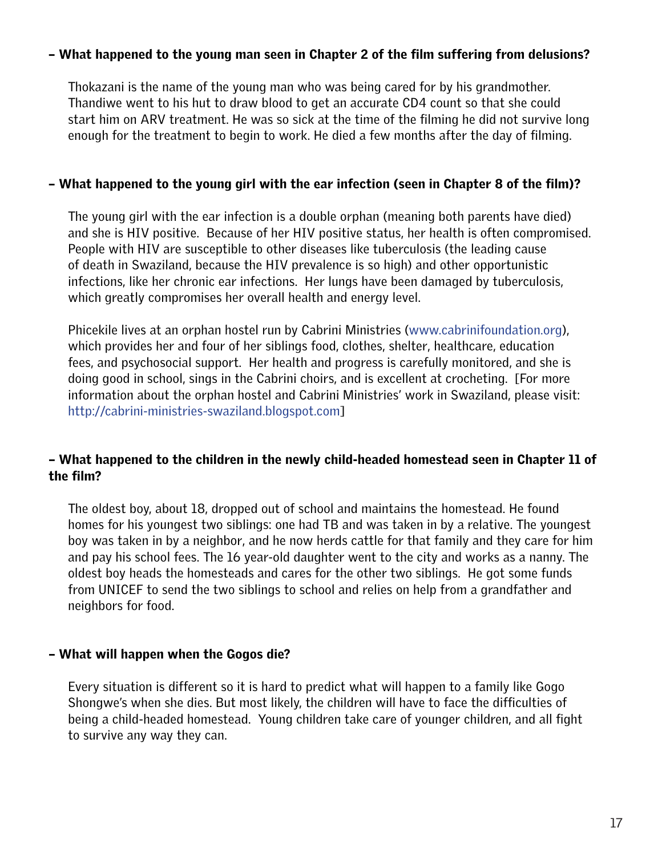#### – What happened to the young man seen in Chapter 2 of the film suffering from delusions?

Thokazani is the name of the young man who was being cared for by his grandmother. Thandiwe went to his hut to draw blood to get an accurate CD4 count so that she could start him on ARV treatment. He was so sick at the time of the filming he did not survive long enough for the treatment to begin to work. He died a few months after the day of filming.

#### – What happened to the young girl with the ear infection (seen in Chapter 8 of the film)?

The young girl with the ear infection is a double orphan (meaning both parents have died) and she is HIV positive. Because of her HIV positive status, her health is often compromised. People with HIV are susceptible to other diseases like tuberculosis (the leading cause of death in Swaziland, because the HIV prevalence is so high) and other opportunistic infections, like her chronic ear infections. Her lungs have been damaged by tuberculosis, which greatly compromises her overall health and energy level.

Phicekile lives at an orphan hostel run by Cabrini Ministries [\(www.cabrinifoundation.org](http://www.cabrinifoundation.org)), which provides her and four of her siblings food, clothes, shelter, healthcare, education fees, and psychosocial support. Her health and progress is carefully monitored, and she is doing good in school, sings in the Cabrini choirs, and is excellent at crocheting. [For more information about the orphan hostel and Cabrini Ministries' work in Swaziland, please visit: [http://cabrini-ministries-swaziland.blogspot.com\]](http://cabrini-ministries-swaziland.blogspot.com)

### – What happened to the children in the newly child-headed homestead seen in Chapter 11 of the film?

The oldest boy, about 18, dropped out of school and maintains the homestead. He found homes for his youngest two siblings: one had TB and was taken in by a relative. The youngest boy was taken in by a neighbor, and he now herds cattle for that family and they care for him and pay his school fees. The 16 year-old daughter went to the city and works as a nanny. The oldest boy heads the homesteads and cares for the other two siblings. He got some funds from UNICEF to send the two siblings to school and relies on help from a grandfather and neighbors for food.

#### – What will happen when the Gogos die?

Every situation is different so it is hard to predict what will happen to a family like Gogo Shongwe's when she dies. But most likely, the children will have to face the difficulties of being a child-headed homestead. Young children take care of younger children, and all fight to survive any way they can.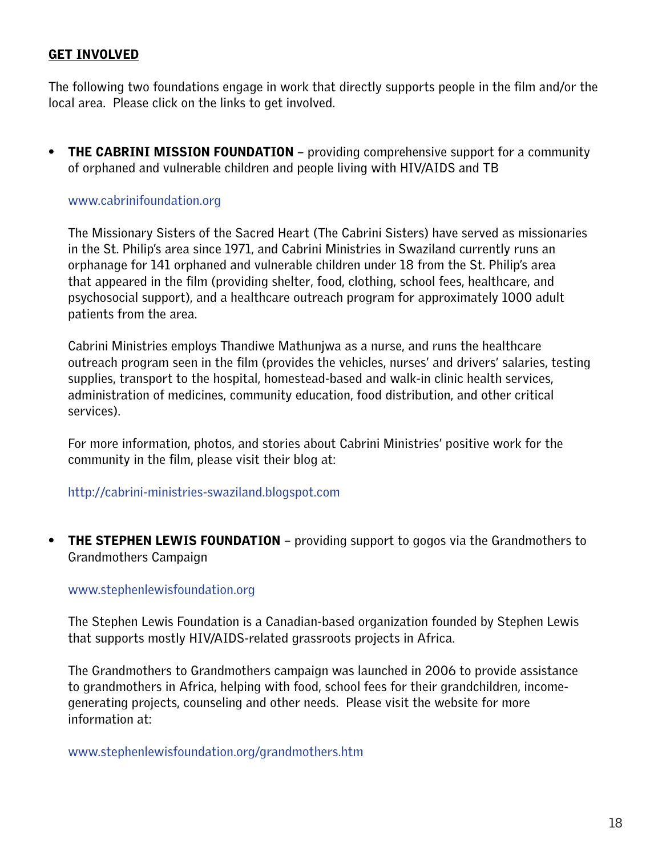### <span id="page-17-0"></span>GET INVOLVED

The following two foundations engage in work that directly supports people in the film and/or the local area. Please click on the links to get involved.

• THE CABRINI MISSION FOUNDATION – providing comprehensive support for a community of orphaned and vulnerable children and people living with HIV/AIDS and TB

#### [www.cabrinifoundation.org](http://www.cabrinifoundation.org)

The Missionary Sisters of the Sacred Heart (The Cabrini Sisters) have served as missionaries in the St. Philip's area since 1971, and Cabrini Ministries in Swaziland currently runs an orphanage for 141 orphaned and vulnerable children under 18 from the St. Philip's area that appeared in the film (providing shelter, food, clothing, school fees, healthcare, and psychosocial support), and a healthcare outreach program for approximately 1000 adult patients from the area.

Cabrini Ministries employs Thandiwe Mathunjwa as a nurse, and runs the healthcare outreach program seen in the film (provides the vehicles, nurses' and drivers' salaries, testing supplies, transport to the hospital, homestead-based and walk-in clinic health services, administration of medicines, community education, food distribution, and other critical services).

For more information, photos, and stories about Cabrini Ministries' positive work for the community in the film, please visit their blog at:

<http://cabrini-ministries-swaziland.blogspot.com>

• THE STEPHEN LEWIS FOUNDATION – providing support to gogos via the Grandmothers to Grandmothers Campaign

#### <www.stephenlewisfoundation.org>

The Stephen Lewis Foundation is a Canadian-based organization founded by Stephen Lewis that supports mostly HIV/AIDS-related grassroots projects in Africa.

The Grandmothers to Grandmothers campaign was launched in 2006 to provide assistance to grandmothers in Africa, helping with food, school fees for their grandchildren, incomegenerating projects, counseling and other needs. Please visit the website for more information at:

<www.stephenlewisfoundation.org/grandmothers.htm>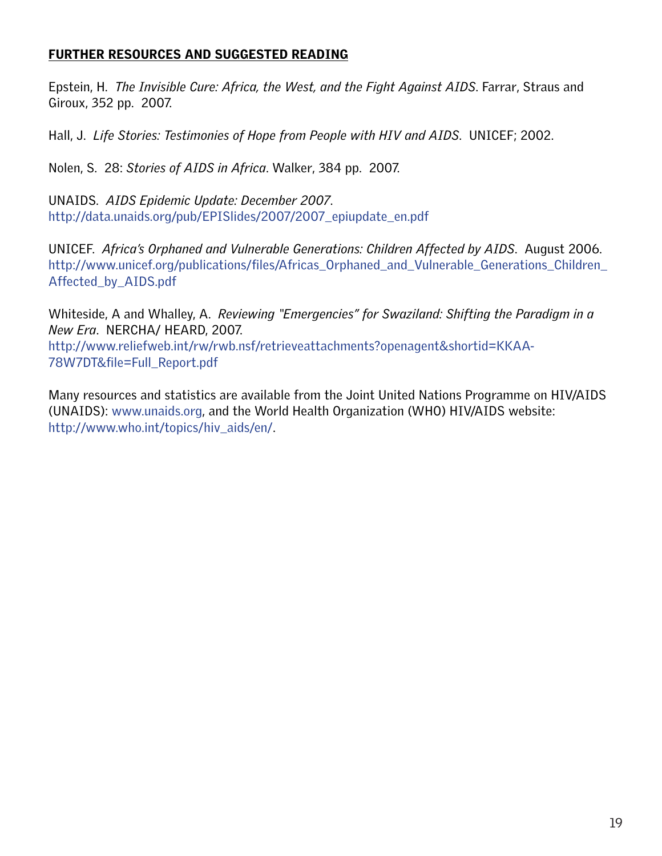## <span id="page-18-0"></span>FURTHER RESOURCES AND SUGGESTED READING

Epstein, H. *The Invisible Cure: Africa, the West, and the Fight Against AIDS*. Farrar, Straus and Giroux, 352 pp. 2007.

Hall, J. *Life Stories: Testimonies of Hope from People with HIV and AIDS*. UNICEF; 2002.

Nolen, S. 28: *Stories of AIDS in Africa*. Walker, 384 pp. 2007.

UNAIDS. *AIDS Epidemic Update: December 2007*. [http://data.unaids.org/pub/EPISlides/2007/2007\\_epiupdate\\_en.pdf](http://data.unaids.org/pub/Report/2008/swaziland_2008_country_progress_report_en.pdf)

UNICEF. *Africa's Orphaned and Vulnerable Generations: Children Affected by AIDS*. August 2006. [http://www.unicef.org/publications/files/Africas\\_Orphaned\\_and\\_Vulnerable\\_Generations\\_Children\\_](http://www.unicef.org/publications/index_35645.html) [Affected\\_by\\_AIDS.pdf](http://www.unicef.org/publications/index_35645.html)

Whiteside, A and Whalley, A. *Reviewing "Emergencies" for Swaziland: Shifting the Paradigm in a New Era*. NERCHA/ HEARD, 2007.

[http://www.reliefweb.int/rw/rwb.nsf/retrieveattachments?openagent&shortid=KKAA-](http://www.reliefweb.int/rw/rwb.nsf/retrieveattachments?openagent&shortid=KKAA-78W7DT&file=Full_Repo)[78W7DT&file=Full\\_Report.pdf](http://www.reliefweb.int/rw/rwb.nsf/retrieveattachments?openagent&shortid=KKAA-78W7DT&file=Full_Repo)

Many resources and statistics are available from the Joint United Nations Programme on HIV/AIDS (UNAIDS): [www.unaids.org](http://www.unaids.org), and the World Health Organization (WHO) HIV/AIDS website: [http://www.who.int/topics/hiv\\_aids/en/.](http://www.who.int/topics/hiv_aids/en/)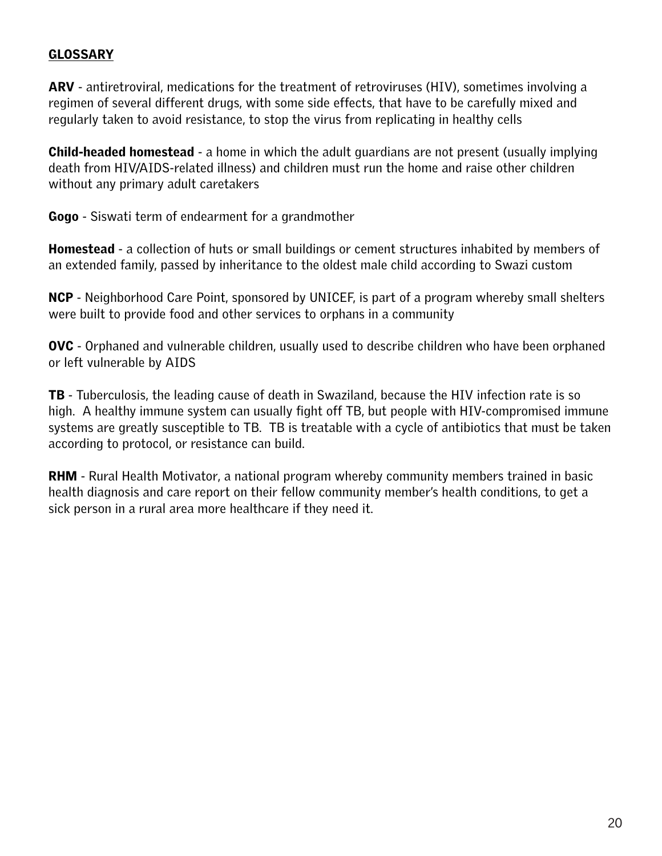## <span id="page-19-0"></span>**GLOSSARY**

ARV - antiretroviral, medications for the treatment of retroviruses (HIV), sometimes involving a regimen of several different drugs, with some side effects, that have to be carefully mixed and regularly taken to avoid resistance, to stop the virus from replicating in healthy cells

**Child-headed homestead** - a home in which the adult guardians are not present (usually implying death from HIV/AIDS-related illness) and children must run the home and raise other children without any primary adult caretakers

Gogo - Siswati term of endearment for a grandmother

**Homestead** - a collection of huts or small buildings or cement structures inhabited by members of an extended family, passed by inheritance to the oldest male child according to Swazi custom

NCP - Neighborhood Care Point, sponsored by UNICEF, is part of a program whereby small shelters were built to provide food and other services to orphans in a community

OVC - Orphaned and vulnerable children, usually used to describe children who have been orphaned or left vulnerable by AIDS

**TB** - Tuberculosis, the leading cause of death in Swaziland, because the HIV infection rate is so high. A healthy immune system can usually fight off TB, but people with HIV-compromised immune systems are greatly susceptible to TB. TB is treatable with a cycle of antibiotics that must be taken according to protocol, or resistance can build.

**RHM** - Rural Health Motivator, a national program whereby community members trained in basic health diagnosis and care report on their fellow community member's health conditions, to get a sick person in a rural area more healthcare if they need it.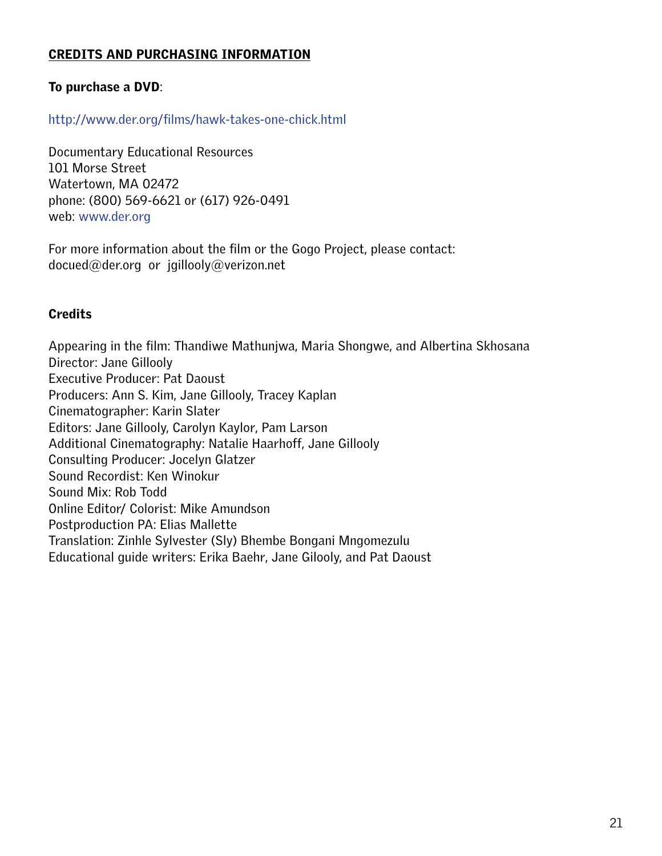## <span id="page-20-0"></span>CREDITS AND PURCHASING INFORMATION

## To purchase a DVD:

### <http://www.der.org/films/hawk-takes-one-chick.html>

Documentary Educational Resources 101 Morse Street Watertown, MA 02472 phone: (800) 569-6621 or (617) 926-0491 web: [www.der.org](http://www.der.org)

For more information about the film or the Gogo Project, please contact: docued@der.org or jgillooly@verizon.net

### **Credits**

Appearing in the film: Thandiwe Mathunjwa, Maria Shongwe, and Albertina Skhosana Director: Jane Gillooly Executive Producer: Pat Daoust Producers: Ann S. Kim, Jane Gillooly, Tracey Kaplan Cinematographer: Karin Slater Editors: Jane Gillooly, Carolyn Kaylor, Pam Larson Additional Cinematography: Natalie Haarhoff, Jane Gillooly Consulting Producer: Jocelyn Glatzer Sound Recordist: Ken Winokur Sound Mix: Rob Todd Online Editor/ Colorist: Mike Amundson Postproduction PA: Elias Mallette Translation: Zinhle Sylvester (Sly) Bhembe Bongani Mngomezulu Educational guide writers: Erika Baehr, Jane Gilooly, and Pat Daoust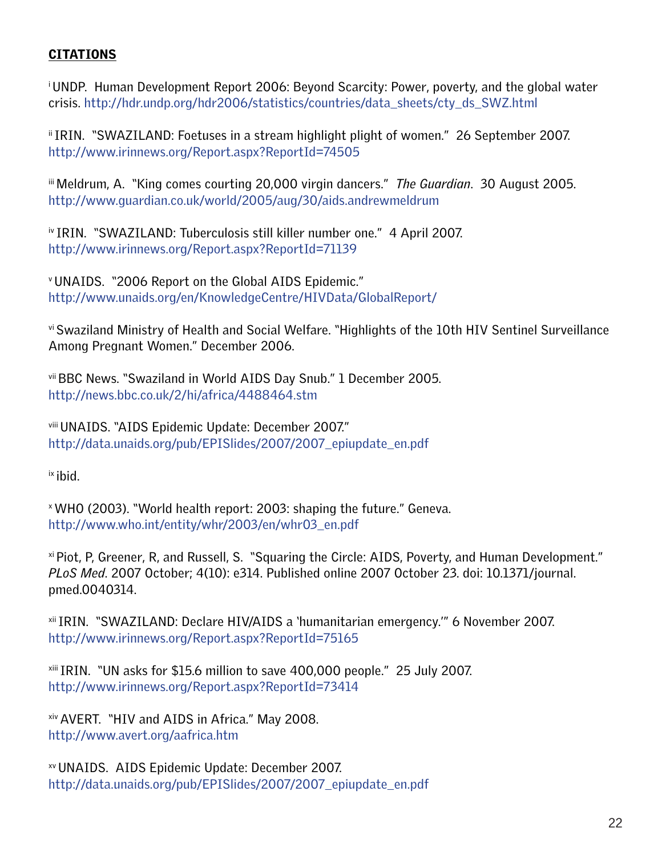# <span id="page-21-0"></span>**CITATIONS**

<span id="page-21-1"></span>i UNDP. Human Development Report 2006: Beyond Scarcity: Power, poverty, and the global water crisis. [http://hdr.undp.org/hdr2006/statistics/countries/data\\_sheets/cty\\_ds\\_SWZ.html](http://hdr.undp.org/hdr2006/statistics/countries/data_sheets/cty_ds_SWZ.html)

<span id="page-21-2"></span>ii IRIN. "SWAZILAND: Foetuses in a stream highlight plight of women." 26 September 2007. <http://www.irinnews.org/Report.aspx?ReportId=74505>

<span id="page-21-3"></span>iii Meldrum, A. "King comes courting 20,000 virgin dancers." *The Guardian*. 30 August 2005. <http://www.guardian.co.uk/world/2005/aug/30/aids.andrewmeldrum>

<span id="page-21-4"></span>iv IRIN. "SWAZILAND: Tuberculosis still killer number one." 4 April 2007. <http://www.irinnews.org/Report.aspx?ReportId=71139>

<span id="page-21-5"></span>v UNAIDS. "2006 Report on the Global AIDS Epidemic." <http://www.unaids.org/en/KnowledgeCentre/HIVData/GlobalReport/>

<span id="page-21-6"></span>vi Swaziland Ministry of Health and Social Welfare. "Highlights of the 10th HIV Sentinel Surveillance Among Pregnant Women." December 2006.

<span id="page-21-7"></span>vii BBC News. "Swaziland in World AIDS Day Snub." 1 December 2005. <http://news.bbc.co.uk/2/hi/africa/4488464.stm>

<span id="page-21-8"></span>viii UNAIDS. "AIDS Epidemic Update: December 2007." [http://data.unaids.org/pub/EPISlides/2007/2007\\_epiupdate\\_en.pdf](http://data.unaids.org/pub/EPISlides/2007/2007_epiupdate_en.pdf)

<span id="page-21-9"></span>ix ibid.

<span id="page-21-10"></span>x WHO (2003). "World health report: 2003: shaping the future." Geneva. [http://www.who.int/entity/whr/2003/en/whr03\\_en.pdf](http://www.who.int/entity/whr/2003/en/whr03_en.pdf)

<span id="page-21-11"></span>xi Piot, P, Greener, R, and Russell, S. "Squaring the Circle: AIDS, Poverty, and Human Development." *PLoS Med*. 2007 October; 4(10): e314. Published online 2007 October 23. doi: 10.1371/journal. pmed.0040314.

<span id="page-21-12"></span>xii IRIN. "SWAZILAND: Declare HIV/AIDS a 'humanitarian emergency.'" 6 November 2007. <http://www.irinnews.org/Report.aspx?ReportId=75165>

<span id="page-21-13"></span>xiii IRIN. "UN asks for \$15.6 million to save 400,000 people." 25 July 2007. <http://www.irinnews.org/Report.aspx?ReportId=73414>

<span id="page-21-14"></span>xiv AVERT. "HIV and AIDS in Africa." May 2008. <http://www.avert.org/aafrica.htm>

<span id="page-21-15"></span>xv UNAIDS. AIDS Epidemic Update: December 2007. [http://data.unaids.org/pub/EPISlides/2007/2007\\_epiupdate\\_en.pdf](http://data.unaids.org/pub/EPISlides/2007/2007_epiupdate_en.pdf)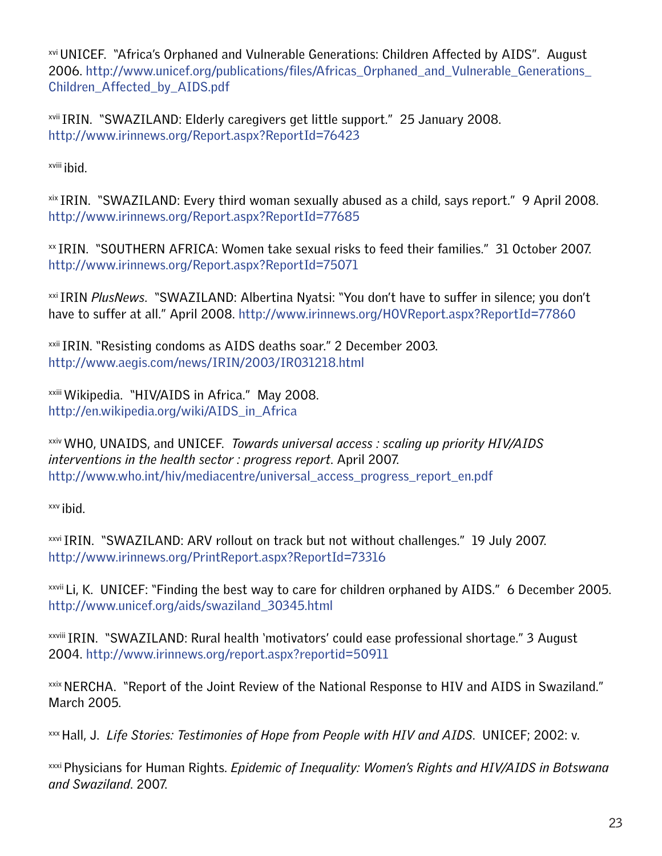<span id="page-22-0"></span>xvi UNICEF. "Africa's Orphaned and Vulnerable Generations: Children Affected by AIDS". August 2006. [http://www.unicef.org/publications/files/Africas\\_Orphaned\\_and\\_Vulnerable\\_Generations\\_](http://www.unicef.org/publications/files/Africas_Orphaned_and_Vulnerable_Generations_Children_Affected_by_AIDS.pdf) [Children\\_Affected\\_by\\_AIDS.pdf](http://www.unicef.org/publications/files/Africas_Orphaned_and_Vulnerable_Generations_Children_Affected_by_AIDS.pdf)

<span id="page-22-1"></span>xvii IRIN. "SWAZILAND: Elderly caregivers get little support." 25 January 2008. <http://www.irinnews.org/Report.aspx?ReportId=76423>

<span id="page-22-2"></span>xviii ibid.

<span id="page-22-3"></span>xix IRIN. "SWAZILAND: Every third woman sexually abused as a child, says report." 9 April 2008. <http://www.irinnews.org/Report.aspx?ReportId=77685>

<span id="page-22-4"></span>xx IRIN. "SOUTHERN AFRICA: Women take sexual risks to feed their families." 31 October 2007. <http://www.irinnews.org/Report.aspx?ReportId=75071>

<span id="page-22-5"></span>xxi IRIN *PlusNews*. "SWAZILAND: Albertina Nyatsi: "You don't have to suffer in silence; you don't have to suffer at all." April 2008. <http://www.irinnews.org/HOVReport.aspx?ReportId=77860>

<sup>xxii</sup> IRIN. "Resisting condoms as AIDS deaths soar." 2 December 2003. <http://www.aegis.com/news/IRIN/2003/IR031218.html>

<span id="page-22-6"></span>xxiii Wikipedia. "HIV/AIDS in Africa." May 2008. [http://en.wikipedia.org/wiki/AIDS\\_in\\_Africa](http://en.wikipedia.org/wiki/AIDS_in_Africa)

<span id="page-22-7"></span>xxiv WHO, UNAIDS, and UNICEF. *Towards universal access : scaling up priority HIV/AIDS interventions in the health sector : progress report*. April 2007. [http://www.who.int/hiv/mediacentre/universal\\_access\\_progress\\_report\\_en.pdf](http://www.who.int/hiv/mediacentre/universal_access_progress_report_en.pdf)

<span id="page-22-8"></span>xxv ibid.

<span id="page-22-9"></span>xxvi IRIN. "SWAZILAND: ARV rollout on track but not without challenges." 19 July 2007. <http://www.irinnews.org/PrintReport.aspx?ReportId=73316>

<span id="page-22-10"></span>xxvii Li, K. UNICEF: "Finding the best way to care for children orphaned by AIDS." 6 December 2005. [http://www.unicef.org/aids/swaziland\\_30345.html](http://www.unicef.org/aids/swaziland_30345.html)

xxviii IRIN. "SWAZILAND: Rural health 'motivators' could ease professional shortage." 3 August 2004. <http://www.irinnews.org/report.aspx?reportid=50911>

<span id="page-22-11"></span><sup>xxix</sup> NERCHA. "Report of the Joint Review of the National Response to HIV and AIDS in Swaziland." March 2005.

<span id="page-22-12"></span>xxx Hall, J. *Life Stories: Testimonies of Hope from People with HIV and AIDS*. UNICEF; 2002: v.

<span id="page-22-13"></span>xxxi Physicians for Human Rights. *Epidemic of Inequality: Women's Rights and HIV/AIDS in Botswana and Swaziland*. 2007.